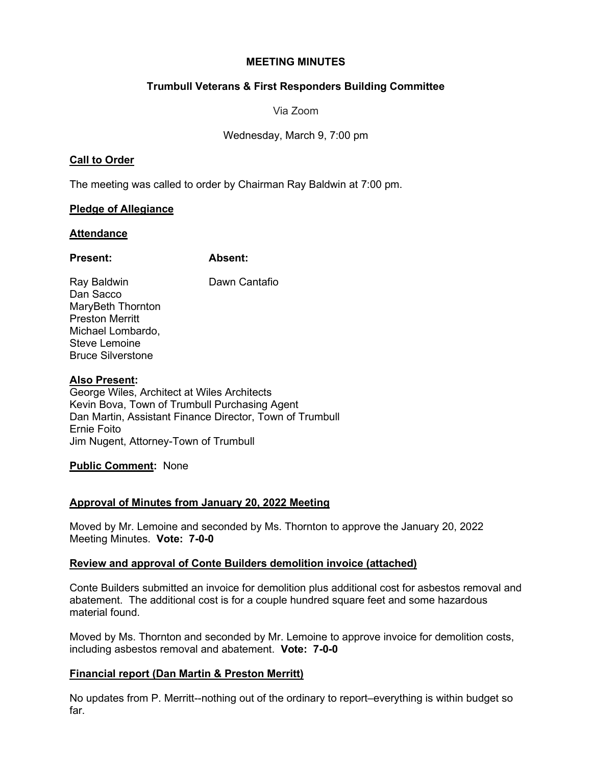#### **MEETING MINUTES**

# **Trumbull Veterans & First Responders Building Committee**

Via Zoom

Wednesday, March 9, 7:00 pm

## **Call to Order**

The meeting was called to order by Chairman Ray Baldwin at 7:00 pm.

## **Pledge of Allegiance**

## **Attendance**

## **Present: Absent:**

Ray Baldwin **Dawn Cantafio** Dan Sacco MaryBeth Thornton Preston Merritt Michael Lombardo, Steve Lemoine Bruce Silverstone

# **Also Present:**

George Wiles, Architect at Wiles Architects Kevin Bova, Town of Trumbull Purchasing Agent Dan Martin, Assistant Finance Director, Town of Trumbull Ernie Foito Jim Nugent, Attorney-Town of Trumbull

# **Public Comment:** None

# **Approval of Minutes from January 20, 2022 Meeting**

Moved by Mr. Lemoine and seconded by Ms. Thornton to approve the January 20, 2022 Meeting Minutes. **Vote: 7-0-0** 

# **Review and approval of Conte Builders demolition invoice (attached)**

Conte Builders submitted an invoice for demolition plus additional cost for asbestos removal and abatement. The additional cost is for a couple hundred square feet and some hazardous material found.

Moved by Ms. Thornton and seconded by Mr. Lemoine to approve invoice for demolition costs, including asbestos removal and abatement. **Vote: 7-0-0** 

# **Financial report (Dan Martin & Preston Merritt)**

No updates from P. Merritt--nothing out of the ordinary to report–everything is within budget so far.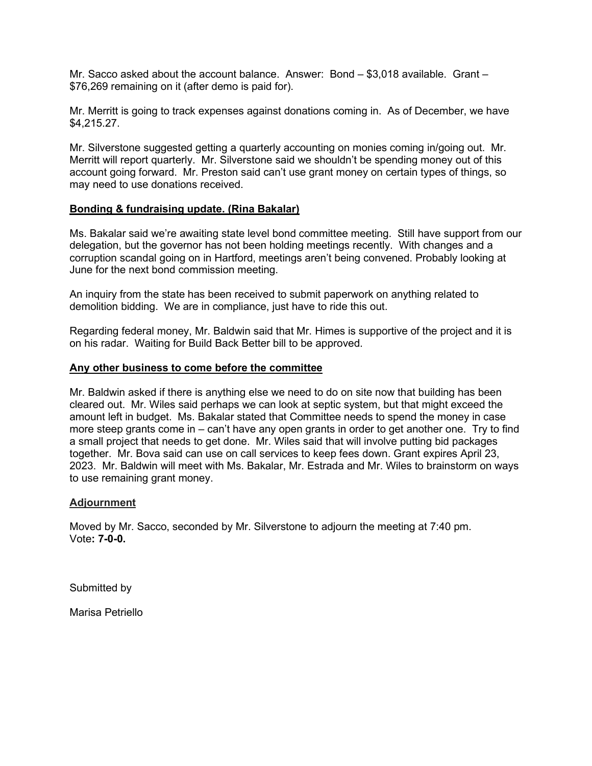Mr. Sacco asked about the account balance. Answer: Bond – \$3,018 available. Grant – \$76,269 remaining on it (after demo is paid for).

Mr. Merritt is going to track expenses against donations coming in. As of December, we have \$4,215.27.

Mr. Silverstone suggested getting a quarterly accounting on monies coming in/going out. Mr. Merritt will report quarterly. Mr. Silverstone said we shouldn't be spending money out of this account going forward. Mr. Preston said can't use grant money on certain types of things, so may need to use donations received.

#### **Bonding & fundraising update. (Rina Bakalar)**

Ms. Bakalar said we're awaiting state level bond committee meeting. Still have support from our delegation, but the governor has not been holding meetings recently. With changes and a corruption scandal going on in Hartford, meetings aren't being convened. Probably looking at June for the next bond commission meeting.

An inquiry from the state has been received to submit paperwork on anything related to demolition bidding. We are in compliance, just have to ride this out.

Regarding federal money, Mr. Baldwin said that Mr. Himes is supportive of the project and it is on his radar. Waiting for Build Back Better bill to be approved.

#### **Any other business to come before the committee**

Mr. Baldwin asked if there is anything else we need to do on site now that building has been cleared out. Mr. Wiles said perhaps we can look at septic system, but that might exceed the amount left in budget. Ms. Bakalar stated that Committee needs to spend the money in case more steep grants come in – can't have any open grants in order to get another one. Try to find a small project that needs to get done. Mr. Wiles said that will involve putting bid packages together. Mr. Bova said can use on call services to keep fees down. Grant expires April 23, 2023. Mr. Baldwin will meet with Ms. Bakalar, Mr. Estrada and Mr. Wiles to brainstorm on ways to use remaining grant money.

#### **Adjournment**

Moved by Mr. Sacco, seconded by Mr. Silverstone to adjourn the meeting at 7:40 pm. Vote**: 7-0-0.** 

Submitted by

Marisa Petriello